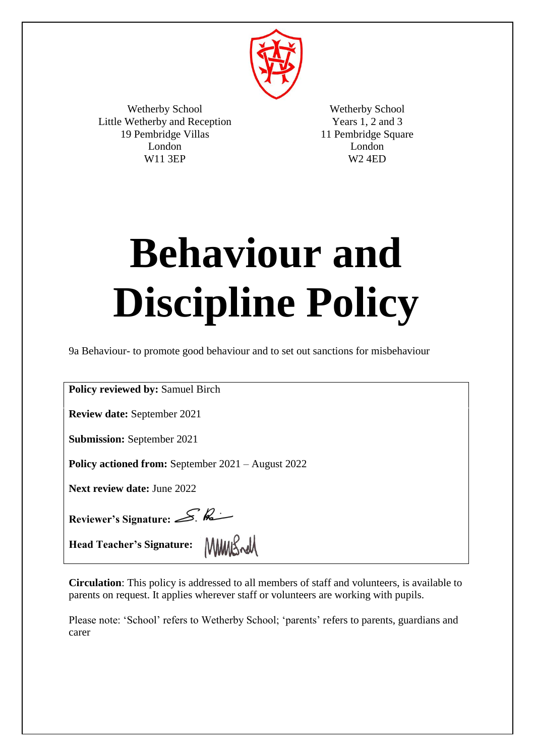

Wetherby School Little Wetherby and Reception 19 Pembridge Villas London W11 3EP

Wetherby School Years 1, 2 and 3 11 Pembridge Square London W2 4ED

# **Behaviour and Discipline Policy**

9a Behaviour- to promote good behaviour and to set out sanctions for misbehaviour

**Policy reviewed by:** Samuel Birch

**Review date:** September 2021

**Submission:** September 2021

**Policy actioned from:** September 2021 – August 2022

**Next review date:** June 2022

Reviewer's Signature: S. Reviewer's

Head Teacher's Signature: **MMUS Add** 

**Circulation**: This policy is addressed to all members of staff and volunteers, is available to parents on request. It applies wherever staff or volunteers are working with pupils.

Please note: 'School' refers to Wetherby School; 'parents' refers to parents, guardians and carer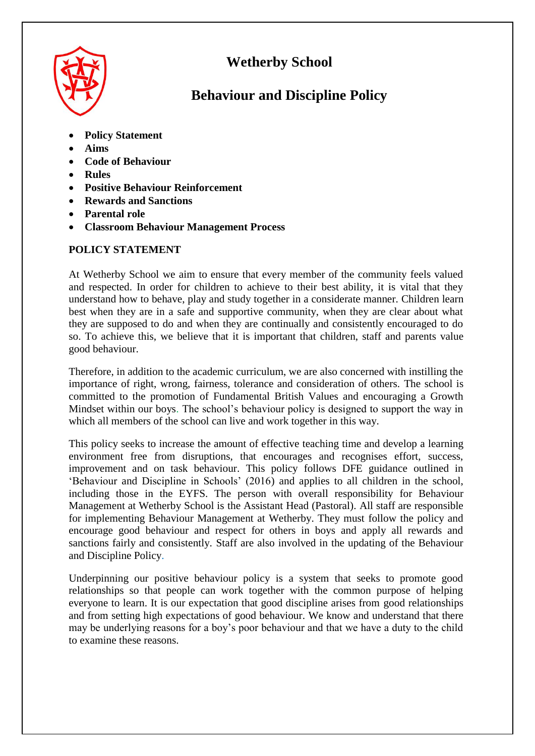

# **Wetherby School**

# **Behaviour and Discipline Policy**

- **Policy Statement**
- **Aims**
- **Code of Behaviour**
- **Rules**
- **Positive Behaviour Reinforcement**
- **Rewards and Sanctions**
- **Parental role**
- **Classroom Behaviour Management Process**

# **POLICY STATEMENT**

At Wetherby School we aim to ensure that every member of the community feels valued and respected. In order for children to achieve to their best ability, it is vital that they understand how to behave, play and study together in a considerate manner. Children learn best when they are in a safe and supportive community, when they are clear about what they are supposed to do and when they are continually and consistently encouraged to do so. To achieve this, we believe that it is important that children, staff and parents value good behaviour.

Therefore, in addition to the academic curriculum, we are also concerned with instilling the importance of right, wrong, fairness, tolerance and consideration of others. The school is committed to the promotion of Fundamental British Values and encouraging a Growth Mindset within our boys. The school's behaviour policy is designed to support the way in which all members of the school can live and work together in this way.

This policy seeks to increase the amount of effective teaching time and develop a learning environment free from disruptions, that encourages and recognises effort, success, improvement and on task behaviour. This policy follows DFE guidance outlined in 'Behaviour and Discipline in Schools' (2016) and applies to all children in the school, including those in the EYFS. The person with overall responsibility for Behaviour Management at Wetherby School is the Assistant Head (Pastoral). All staff are responsible for implementing Behaviour Management at Wetherby. They must follow the policy and encourage good behaviour and respect for others in boys and apply all rewards and sanctions fairly and consistently. Staff are also involved in the updating of the Behaviour and Discipline Policy.

Underpinning our positive behaviour policy is a system that seeks to promote good relationships so that people can work together with the common purpose of helping everyone to learn. It is our expectation that good discipline arises from good relationships and from setting high expectations of good behaviour. We know and understand that there may be underlying reasons for a boy's poor behaviour and that we have a duty to the child to examine these reasons.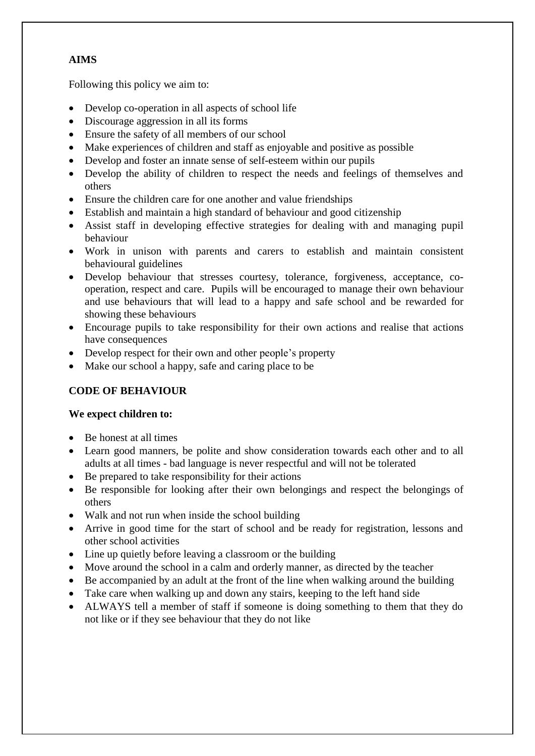# **AIMS**

Following this policy we aim to:

- Develop co-operation in all aspects of school life
- Discourage aggression in all its forms
- Ensure the safety of all members of our school
- Make experiences of children and staff as enjoyable and positive as possible
- Develop and foster an innate sense of self-esteem within our pupils
- Develop the ability of children to respect the needs and feelings of themselves and others
- Ensure the children care for one another and value friendships
- Establish and maintain a high standard of behaviour and good citizenship
- Assist staff in developing effective strategies for dealing with and managing pupil behaviour
- Work in unison with parents and carers to establish and maintain consistent behavioural guidelines
- Develop behaviour that stresses courtesy, tolerance, forgiveness, acceptance, cooperation, respect and care. Pupils will be encouraged to manage their own behaviour and use behaviours that will lead to a happy and safe school and be rewarded for showing these behaviours
- Encourage pupils to take responsibility for their own actions and realise that actions have consequences
- Develop respect for their own and other people's property
- Make our school a happy, safe and caring place to be

# **CODE OF BEHAVIOUR**

# **We expect children to:**

- Be honest at all times
- Learn good manners, be polite and show consideration towards each other and to all adults at all times - bad language is never respectful and will not be tolerated
- Be prepared to take responsibility for their actions
- Be responsible for looking after their own belongings and respect the belongings of others
- Walk and not run when inside the school building
- Arrive in good time for the start of school and be ready for registration, lessons and other school activities
- Line up quietly before leaving a classroom or the building
- Move around the school in a calm and orderly manner, as directed by the teacher
- Be accompanied by an adult at the front of the line when walking around the building
- Take care when walking up and down any stairs, keeping to the left hand side
- ALWAYS tell a member of staff if someone is doing something to them that they do not like or if they see behaviour that they do not like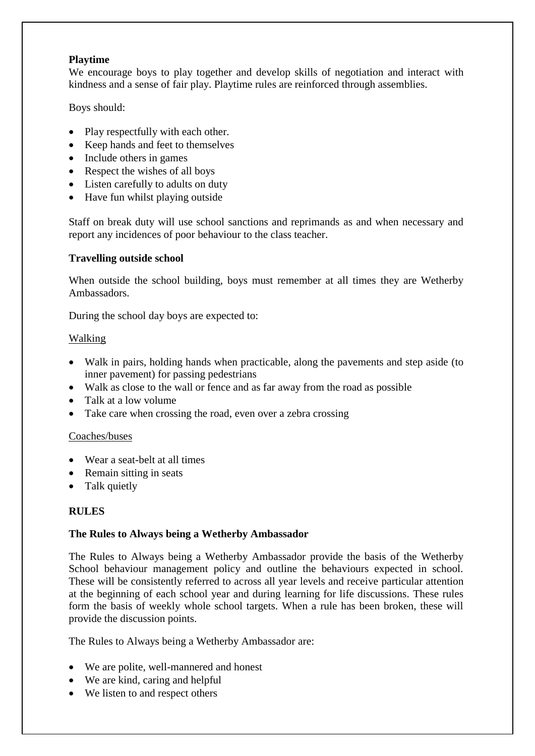#### **Playtime**

We encourage boys to play together and develop skills of negotiation and interact with kindness and a sense of fair play. Playtime rules are reinforced through assemblies.

Boys should:

- Play respectfully with each other.
- Keep hands and feet to themselves
- Include others in games
- Respect the wishes of all boys
- Listen carefully to adults on duty
- Have fun whilst playing outside

Staff on break duty will use school sanctions and reprimands as and when necessary and report any incidences of poor behaviour to the class teacher.

#### **Travelling outside school**

When outside the school building, boys must remember at all times they are Wetherby Ambassadors.

During the school day boys are expected to:

#### Walking

- Walk in pairs, holding hands when practicable, along the pavements and step aside (to inner pavement) for passing pedestrians
- Walk as close to the wall or fence and as far away from the road as possible
- Talk at a low volume
- Take care when crossing the road, even over a zebra crossing

#### Coaches/buses

- Wear a seat-belt at all times
- Remain sitting in seats
- Talk quietly

#### **RULES**

#### **The Rules to Always being a Wetherby Ambassador**

The Rules to Always being a Wetherby Ambassador provide the basis of the Wetherby School behaviour management policy and outline the behaviours expected in school. These will be consistently referred to across all year levels and receive particular attention at the beginning of each school year and during learning for life discussions. These rules form the basis of weekly whole school targets. When a rule has been broken, these will provide the discussion points.

The Rules to Always being a Wetherby Ambassador are:

- We are polite, well-mannered and honest
- We are kind, caring and helpful
- We listen to and respect others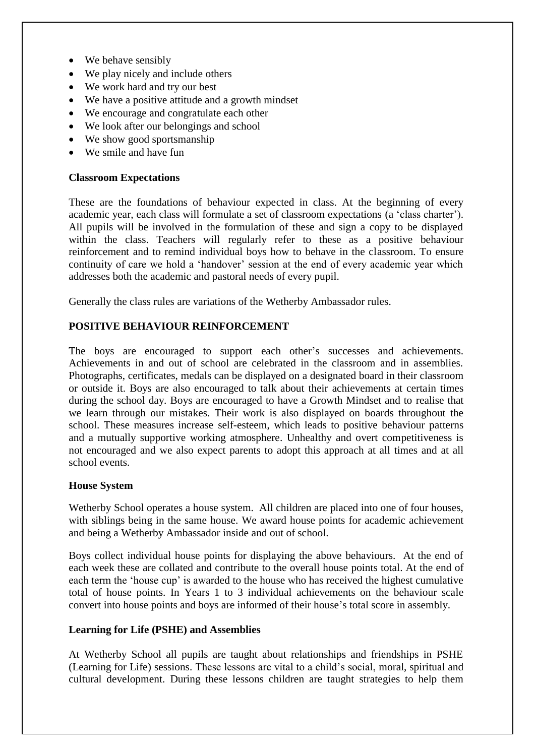- We behave sensibly
- We play nicely and include others
- We work hard and try our best
- We have a positive attitude and a growth mindset
- We encourage and congratulate each other
- We look after our belongings and school
- We show good sportsmanship
- We smile and have fun

#### **Classroom Expectations**

These are the foundations of behaviour expected in class. At the beginning of every academic year, each class will formulate a set of classroom expectations (a 'class charter'). All pupils will be involved in the formulation of these and sign a copy to be displayed within the class. Teachers will regularly refer to these as a positive behaviour reinforcement and to remind individual boys how to behave in the classroom. To ensure continuity of care we hold a 'handover' session at the end of every academic year which addresses both the academic and pastoral needs of every pupil.

Generally the class rules are variations of the Wetherby Ambassador rules.

# **POSITIVE BEHAVIOUR REINFORCEMENT**

The boys are encouraged to support each other's successes and achievements. Achievements in and out of school are celebrated in the classroom and in assemblies. Photographs, certificates, medals can be displayed on a designated board in their classroom or outside it. Boys are also encouraged to talk about their achievements at certain times during the school day. Boys are encouraged to have a Growth Mindset and to realise that we learn through our mistakes. Their work is also displayed on boards throughout the school. These measures increase self-esteem, which leads to positive behaviour patterns and a mutually supportive working atmosphere. Unhealthy and overt competitiveness is not encouraged and we also expect parents to adopt this approach at all times and at all school events.

#### **House System**

Wetherby School operates a house system. All children are placed into one of four houses, with siblings being in the same house. We award house points for academic achievement and being a Wetherby Ambassador inside and out of school.

Boys collect individual house points for displaying the above behaviours. At the end of each week these are collated and contribute to the overall house points total. At the end of each term the 'house cup' is awarded to the house who has received the highest cumulative total of house points. In Years 1 to 3 individual achievements on the behaviour scale convert into house points and boys are informed of their house's total score in assembly.

#### **Learning for Life (PSHE) and Assemblies**

At Wetherby School all pupils are taught about relationships and friendships in PSHE (Learning for Life) sessions. These lessons are vital to a child's social, moral, spiritual and cultural development. During these lessons children are taught strategies to help them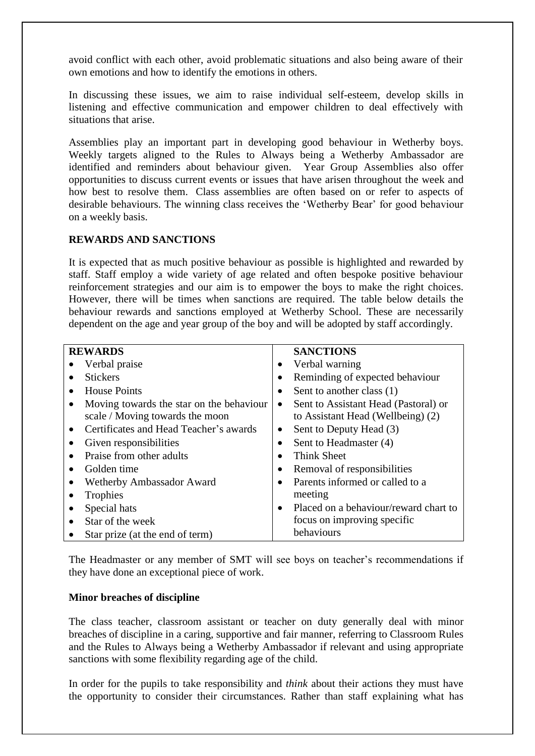avoid conflict with each other, avoid problematic situations and also being aware of their own emotions and how to identify the emotions in others.

In discussing these issues, we aim to raise individual self-esteem, develop skills in listening and effective communication and empower children to deal effectively with situations that arise.

Assemblies play an important part in developing good behaviour in Wetherby boys. Weekly targets aligned to the Rules to Always being a Wetherby Ambassador are identified and reminders about behaviour given. Year Group Assemblies also offer opportunities to discuss current events or issues that have arisen throughout the week and how best to resolve them. Class assemblies are often based on or refer to aspects of desirable behaviours. The winning class receives the 'Wetherby Bear' for good behaviour on a weekly basis.

#### **REWARDS AND SANCTIONS**

It is expected that as much positive behaviour as possible is highlighted and rewarded by staff. Staff employ a wide variety of age related and often bespoke positive behaviour reinforcement strategies and our aim is to empower the boys to make the right choices. However, there will be times when sanctions are required. The table below details the behaviour rewards and sanctions employed at Wetherby School. These are necessarily dependent on the age and year group of the boy and will be adopted by staff accordingly.

| <b>REWARDS</b>                                      | <b>SANCTIONS</b>                                   |
|-----------------------------------------------------|----------------------------------------------------|
| Verbal praise                                       | Verbal warning<br>$\bullet$                        |
| <b>Stickers</b>                                     | Reminding of expected behaviour                    |
| <b>House Points</b>                                 | Sent to another class (1)                          |
| Moving towards the star on the behaviour            | Sent to Assistant Head (Pastoral) or<br>٠          |
| scale / Moving towards the moon                     | to Assistant Head (Wellbeing) (2)                  |
| Certificates and Head Teacher's awards<br>$\bullet$ | Sent to Deputy Head (3)<br>$\bullet$               |
| Given responsibilities                              | Sent to Headmaster (4)                             |
| Praise from other adults                            | <b>Think Sheet</b><br>$\bullet$                    |
| Golden time                                         | Removal of responsibilities<br>$\bullet$           |
| Wetherby Ambassador Award                           | Parents informed or called to a<br>$\bullet$       |
| Trophies                                            | meeting                                            |
| Special hats                                        | Placed on a behaviour/reward chart to<br>$\bullet$ |
| Star of the week<br>$\bullet$                       | focus on improving specific                        |
| Star prize (at the end of term)                     | behaviours                                         |

The Headmaster or any member of SMT will see boys on teacher's recommendations if they have done an exceptional piece of work.

#### **Minor breaches of discipline**

The class teacher, classroom assistant or teacher on duty generally deal with minor breaches of discipline in a caring, supportive and fair manner, referring to Classroom Rules and the Rules to Always being a Wetherby Ambassador if relevant and using appropriate sanctions with some flexibility regarding age of the child.

In order for the pupils to take responsibility and *think* about their actions they must have the opportunity to consider their circumstances. Rather than staff explaining what has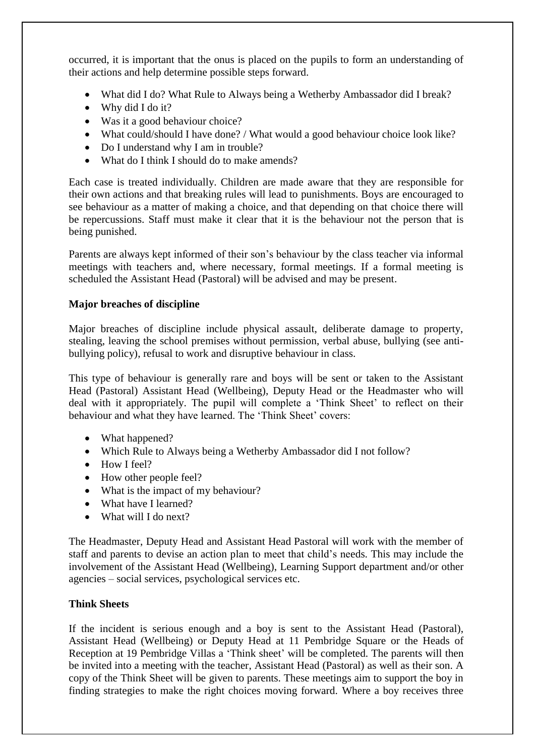occurred, it is important that the onus is placed on the pupils to form an understanding of their actions and help determine possible steps forward.

- What did I do? What Rule to Always being a Wetherby Ambassador did I break?
- Why did I do it?
- Was it a good behaviour choice?
- What could/should I have done? / What would a good behaviour choice look like?
- Do I understand why I am in trouble?
- What do I think I should do to make amends?

Each case is treated individually. Children are made aware that they are responsible for their own actions and that breaking rules will lead to punishments. Boys are encouraged to see behaviour as a matter of making a choice, and that depending on that choice there will be repercussions. Staff must make it clear that it is the behaviour not the person that is being punished.

Parents are always kept informed of their son's behaviour by the class teacher via informal meetings with teachers and, where necessary, formal meetings. If a formal meeting is scheduled the Assistant Head (Pastoral) will be advised and may be present.

# **Major breaches of discipline**

Major breaches of discipline include physical assault, deliberate damage to property, stealing, leaving the school premises without permission, verbal abuse, bullying (see antibullying policy), refusal to work and disruptive behaviour in class.

This type of behaviour is generally rare and boys will be sent or taken to the Assistant Head (Pastoral) Assistant Head (Wellbeing), Deputy Head or the Headmaster who will deal with it appropriately. The pupil will complete a 'Think Sheet' to reflect on their behaviour and what they have learned. The 'Think Sheet' covers:

- What happened?
- Which Rule to Always being a Wetherby Ambassador did I not follow?
- $\bullet$  How I feel?
- How other people feel?
- What is the impact of my behaviour?
- What have I learned?
- What will I do next?

The Headmaster, Deputy Head and Assistant Head Pastoral will work with the member of staff and parents to devise an action plan to meet that child's needs. This may include the involvement of the Assistant Head (Wellbeing), Learning Support department and/or other agencies – social services, psychological services etc.

# **Think Sheets**

If the incident is serious enough and a boy is sent to the Assistant Head (Pastoral), Assistant Head (Wellbeing) or Deputy Head at 11 Pembridge Square or the Heads of Reception at 19 Pembridge Villas a 'Think sheet' will be completed. The parents will then be invited into a meeting with the teacher, Assistant Head (Pastoral) as well as their son. A copy of the Think Sheet will be given to parents. These meetings aim to support the boy in finding strategies to make the right choices moving forward. Where a boy receives three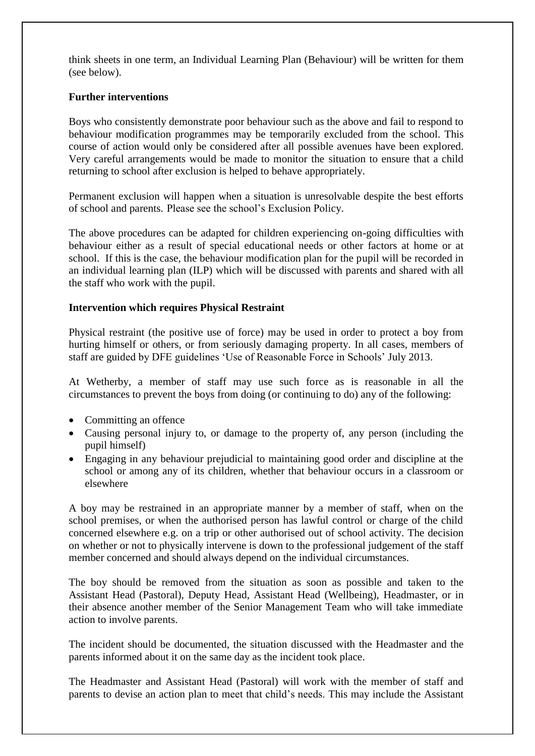think sheets in one term, an Individual Learning Plan (Behaviour) will be written for them (see below).

#### **Further interventions**

Boys who consistently demonstrate poor behaviour such as the above and fail to respond to behaviour modification programmes may be temporarily excluded from the school. This course of action would only be considered after all possible avenues have been explored. Very careful arrangements would be made to monitor the situation to ensure that a child returning to school after exclusion is helped to behave appropriately.

Permanent exclusion will happen when a situation is unresolvable despite the best efforts of school and parents. Please see the school's Exclusion Policy.

The above procedures can be adapted for children experiencing on-going difficulties with behaviour either as a result of special educational needs or other factors at home or at school. If this is the case, the behaviour modification plan for the pupil will be recorded in an individual learning plan (ILP) which will be discussed with parents and shared with all the staff who work with the pupil.

#### **Intervention which requires Physical Restraint**

Physical restraint (the positive use of force) may be used in order to protect a boy from hurting himself or others, or from seriously damaging property. In all cases, members of staff are guided by DFE guidelines 'Use of Reasonable Force in Schools' July 2013.

At Wetherby, a member of staff may use such force as is reasonable in all the circumstances to prevent the boys from doing (or continuing to do) any of the following:

- Committing an offence
- Causing personal injury to, or damage to the property of, any person (including the pupil himself)
- Engaging in any behaviour prejudicial to maintaining good order and discipline at the school or among any of its children, whether that behaviour occurs in a classroom or elsewhere

A boy may be restrained in an appropriate manner by a member of staff, when on the school premises, or when the authorised person has lawful control or charge of the child concerned elsewhere e.g. on a trip or other authorised out of school activity. The decision on whether or not to physically intervene is down to the professional judgement of the staff member concerned and should always depend on the individual circumstances.

The boy should be removed from the situation as soon as possible and taken to the Assistant Head (Pastoral), Deputy Head, Assistant Head (Wellbeing), Headmaster, or in their absence another member of the Senior Management Team who will take immediate action to involve parents.

The incident should be documented, the situation discussed with the Headmaster and the parents informed about it on the same day as the incident took place.

The Headmaster and Assistant Head (Pastoral) will work with the member of staff and parents to devise an action plan to meet that child's needs. This may include the Assistant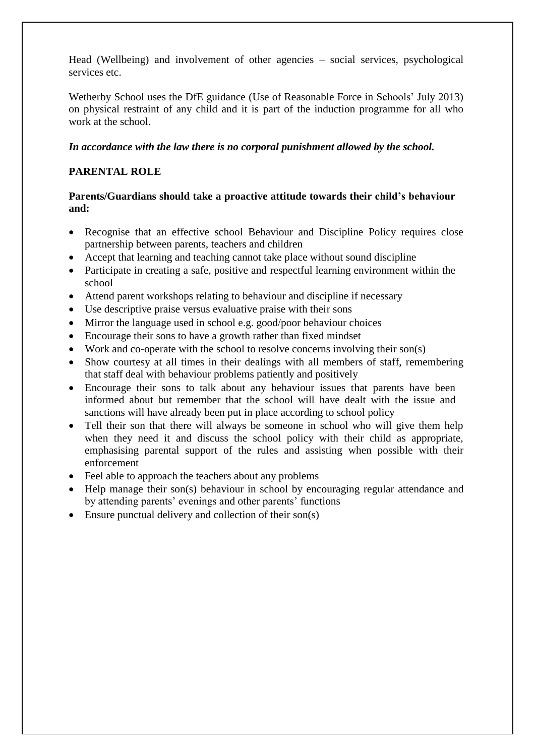Head (Wellbeing) and involvement of other agencies – social services, psychological services etc.

Wetherby School uses the DfE guidance (Use of Reasonable Force in Schools' July 2013) on physical restraint of any child and it is part of the induction programme for all who work at the school.

# *In accordance with the law there is no corporal punishment allowed by the school.*

# **PARENTAL ROLE**

# **Parents/Guardians should take a proactive attitude towards their child's behaviour and:**

- Recognise that an effective school Behaviour and Discipline Policy requires close partnership between parents, teachers and children
- Accept that learning and teaching cannot take place without sound discipline
- Participate in creating a safe, positive and respectful learning environment within the school
- Attend parent workshops relating to behaviour and discipline if necessary
- Use descriptive praise versus evaluative praise with their sons
- Mirror the language used in school e.g. good/poor behaviour choices
- Encourage their sons to have a growth rather than fixed mindset
- Work and co-operate with the school to resolve concerns involving their son(s)
- Show courtesy at all times in their dealings with all members of staff, remembering that staff deal with behaviour problems patiently and positively
- Encourage their sons to talk about any behaviour issues that parents have been informed about but remember that the school will have dealt with the issue and sanctions will have already been put in place according to school policy
- Tell their son that there will always be someone in school who will give them help when they need it and discuss the school policy with their child as appropriate, emphasising parental support of the rules and assisting when possible with their enforcement
- Feel able to approach the teachers about any problems
- Help manage their son(s) behaviour in school by encouraging regular attendance and by attending parents' evenings and other parents' functions
- Ensure punctual delivery and collection of their son(s)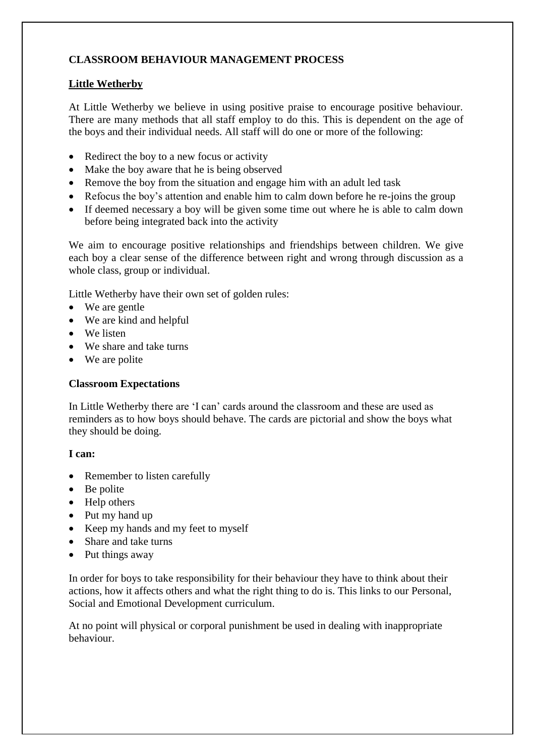# **CLASSROOM BEHAVIOUR MANAGEMENT PROCESS**

# **Little Wetherby**

At Little Wetherby we believe in using positive praise to encourage positive behaviour. There are many methods that all staff employ to do this. This is dependent on the age of the boys and their individual needs. All staff will do one or more of the following:

- Redirect the boy to a new focus or activity
- Make the boy aware that he is being observed
- Remove the boy from the situation and engage him with an adult led task
- Refocus the boy's attention and enable him to calm down before he re-joins the group
- If deemed necessary a boy will be given some time out where he is able to calm down before being integrated back into the activity

We aim to encourage positive relationships and friendships between children. We give each boy a clear sense of the difference between right and wrong through discussion as a whole class, group or individual.

Little Wetherby have their own set of golden rules:

- We are gentle
- We are kind and helpful
- We listen
- We share and take turns
- We are polite

# **Classroom Expectations**

In Little Wetherby there are 'I can' cards around the classroom and these are used as reminders as to how boys should behave. The cards are pictorial and show the boys what they should be doing.

# **I can:**

- Remember to listen carefully
- Be polite
- Help others
- Put my hand up
- Keep my hands and my feet to myself
- Share and take turns
- Put things away

In order for boys to take responsibility for their behaviour they have to think about their actions, how it affects others and what the right thing to do is. This links to our Personal, Social and Emotional Development curriculum.

At no point will physical or corporal punishment be used in dealing with inappropriate behaviour.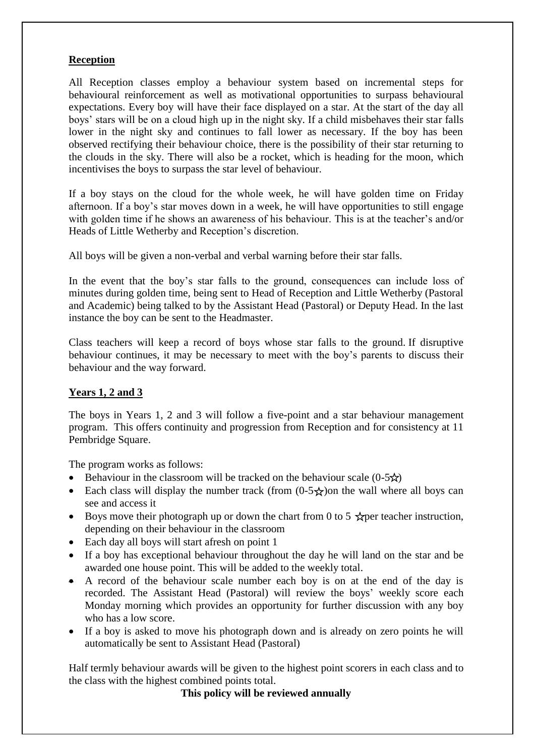#### **Reception**

All Reception classes employ a behaviour system based on incremental steps for behavioural reinforcement as well as motivational opportunities to surpass behavioural expectations. Every boy will have their face displayed on a star. At the start of the day all boys' stars will be on a cloud high up in the night sky. If a child misbehaves their star falls lower in the night sky and continues to fall lower as necessary. If the boy has been observed rectifying their behaviour choice, there is the possibility of their star returning to the clouds in the sky. There will also be a rocket, which is heading for the moon, which incentivises the boys to surpass the star level of behaviour.

If a boy stays on the cloud for the whole week, he will have golden time on Friday afternoon. If a boy's star moves down in a week, he will have opportunities to still engage with golden time if he shows an awareness of his behaviour. This is at the teacher's and/or Heads of Little Wetherby and Reception's discretion.

All boys will be given a non-verbal and verbal warning before their star falls.

In the event that the boy's star falls to the ground, consequences can include loss of minutes during golden time, being sent to Head of Reception and Little Wetherby (Pastoral and Academic) being talked to by the Assistant Head (Pastoral) or Deputy Head. In the last instance the boy can be sent to the Headmaster.

Class teachers will keep a record of boys whose star falls to the ground. If disruptive behaviour continues, it may be necessary to meet with the boy's parents to discuss their behaviour and the way forward.

# **Years 1, 2 and 3**

The boys in Years 1, 2 and 3 will follow a five-point and a star behaviour management program. This offers continuity and progression from Reception and for consistency at 11 Pembridge Square.

The program works as follows:

- Behaviour in the classroom will be tracked on the behaviour scale  $(0-5\star)$
- Each class will display the number track (from  $(0.5 \times)$  on the wall where all boys can see and access it
- Boys move their photograph up or down the chart from 0 to 5  $\star$  per teacher instruction. depending on their behaviour in the classroom
- Each day all boys will start afresh on point 1
- If a boy has exceptional behaviour throughout the day he will land on the star and be awarded one house point. This will be added to the weekly total.
- A record of the behaviour scale number each boy is on at the end of the day is recorded. The Assistant Head (Pastoral) will review the boys' weekly score each Monday morning which provides an opportunity for further discussion with any boy who has a low score.
- If a boy is asked to move his photograph down and is already on zero points he will automatically be sent to Assistant Head (Pastoral)

Half termly behaviour awards will be given to the highest point scorers in each class and to the class with the highest combined points total.

**This policy will be reviewed annually**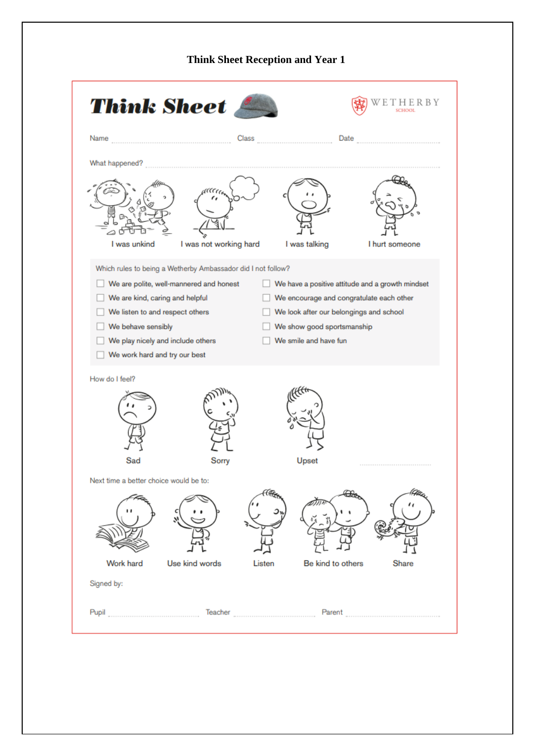